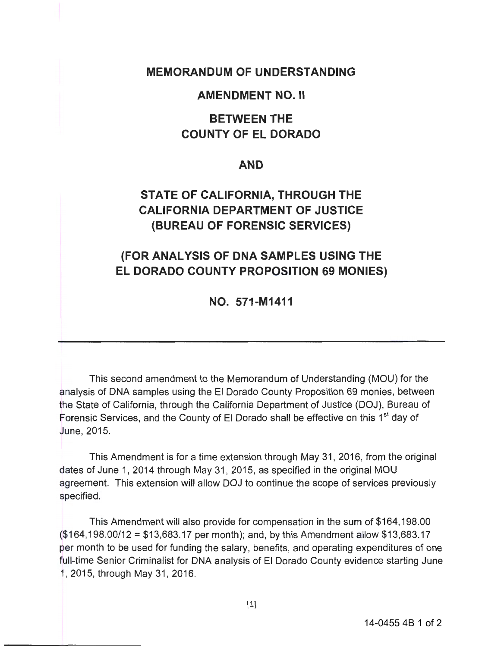### **MEMORANDUM OF UNDERSTANDING**

#### **AMENDMENT NO. II**

## **BETWEEN THE COUNTY OF EL DORADO**

#### **AND**

# **STATE OF CALIFORNIA, THROUGH THE CALIFORNIA DEPARTMENT OF JUSTICE (BUREAU OF FORENSIC SERVICES)**

## **(FOR ANALYSIS OF DNA SAMPLES USING THE EL DORADO COUNTY PROPOSITION 69 MONIES)**

**NO. 571-M1411** 

This second amendment to the Memorandum of Understanding (MOU) for the analysis of DNA samples using the El Dorado County Proposition 69 monies, between the State of California, through the California Department of Justice (DOJ), Bureau of Forensic Services, and the County of El Dorado shall be effective on this 1<sup>st</sup> day of June, 2015.

This Amendment is for a time extension through May 31, 2016, from the original dates of June 1, 2014 through May 31, 2015, as specified in the original MOU agreement. This extension will allow DOJ to continue the scope of services previously specified.

This Amendment will also provide for compensation in the sum of \$164,198.00 (\$164,198.00/12 = \$13,683.17 per month); and, by this Amendment allow \$13,683.17 per month to be used for funding the salary, benefits, and operating expenditures of one full-time Senior Criminalist for DNA analysis of El Dorado County evidence starting June 1, 2015, through May 31 , 2016.